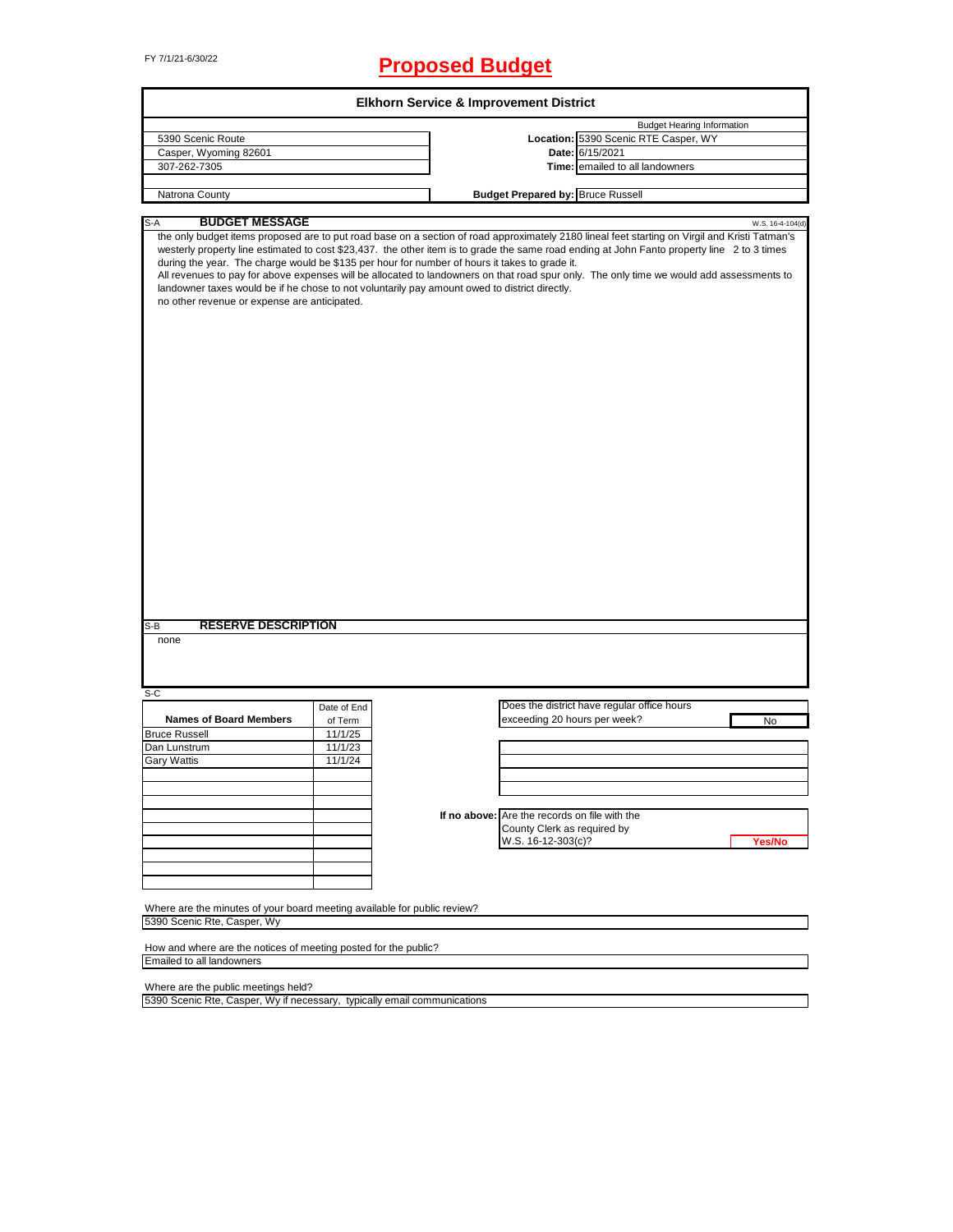# FY 7/1/21-6/30/22 **Proposed Budget**

|                                                                              |             | <b>Elkhorn Service &amp; Improvement District</b>                                                                                                                                                                                                                                                                                                                                                                                                                                                                                                                                                                                                               |
|------------------------------------------------------------------------------|-------------|-----------------------------------------------------------------------------------------------------------------------------------------------------------------------------------------------------------------------------------------------------------------------------------------------------------------------------------------------------------------------------------------------------------------------------------------------------------------------------------------------------------------------------------------------------------------------------------------------------------------------------------------------------------------|
|                                                                              |             | <b>Budget Hearing Information</b>                                                                                                                                                                                                                                                                                                                                                                                                                                                                                                                                                                                                                               |
| 5390 Scenic Route                                                            |             | Location: 5390 Scenic RTE Casper, WY                                                                                                                                                                                                                                                                                                                                                                                                                                                                                                                                                                                                                            |
| Casper, Wyoming 82601                                                        |             | Date: 6/15/2021                                                                                                                                                                                                                                                                                                                                                                                                                                                                                                                                                                                                                                                 |
| 307-262-7305                                                                 |             | Time: emailed to all landowners                                                                                                                                                                                                                                                                                                                                                                                                                                                                                                                                                                                                                                 |
| Natrona County                                                               |             | <b>Budget Prepared by: Bruce Russell</b>                                                                                                                                                                                                                                                                                                                                                                                                                                                                                                                                                                                                                        |
|                                                                              |             |                                                                                                                                                                                                                                                                                                                                                                                                                                                                                                                                                                                                                                                                 |
| <b>BUDGET MESSAGE</b><br>S-A<br>no other revenue or expense are anticipated. |             | W.S. 16-4-104(d)<br>the only budget items proposed are to put road base on a section of road approximately 2180 lineal feet starting on Virgil and Kristi Tatman's<br>westerly property line estimated to cost \$23,437. the other item is to grade the same road ending at John Fanto property line 2 to 3 times<br>during the year. The charge would be \$135 per hour for number of hours it takes to grade it.<br>All revenues to pay for above expenses will be allocated to landowners on that road spur only. The only time we would add assessments to<br>landowner taxes would be if he chose to not voluntarily pay amount owed to district directly. |
| <b>RESERVE DESCRIPTION</b><br>none                                           |             |                                                                                                                                                                                                                                                                                                                                                                                                                                                                                                                                                                                                                                                                 |
|                                                                              |             |                                                                                                                                                                                                                                                                                                                                                                                                                                                                                                                                                                                                                                                                 |
|                                                                              | Date of End | Does the district have regular office hours                                                                                                                                                                                                                                                                                                                                                                                                                                                                                                                                                                                                                     |
| <b>Names of Board Members</b>                                                | of Term     | exceeding 20 hours per week?<br>No                                                                                                                                                                                                                                                                                                                                                                                                                                                                                                                                                                                                                              |
|                                                                              | 11/1/25     |                                                                                                                                                                                                                                                                                                                                                                                                                                                                                                                                                                                                                                                                 |
|                                                                              | 11/1/23     |                                                                                                                                                                                                                                                                                                                                                                                                                                                                                                                                                                                                                                                                 |
|                                                                              |             |                                                                                                                                                                                                                                                                                                                                                                                                                                                                                                                                                                                                                                                                 |
|                                                                              | 11/1/24     |                                                                                                                                                                                                                                                                                                                                                                                                                                                                                                                                                                                                                                                                 |
|                                                                              |             |                                                                                                                                                                                                                                                                                                                                                                                                                                                                                                                                                                                                                                                                 |
|                                                                              |             |                                                                                                                                                                                                                                                                                                                                                                                                                                                                                                                                                                                                                                                                 |
|                                                                              |             |                                                                                                                                                                                                                                                                                                                                                                                                                                                                                                                                                                                                                                                                 |
|                                                                              |             | If no above: Are the records on file with the                                                                                                                                                                                                                                                                                                                                                                                                                                                                                                                                                                                                                   |
|                                                                              |             | County Clerk as required by                                                                                                                                                                                                                                                                                                                                                                                                                                                                                                                                                                                                                                     |
|                                                                              |             | W.S. 16-12-303(c)?<br>Yes/No                                                                                                                                                                                                                                                                                                                                                                                                                                                                                                                                                                                                                                    |
|                                                                              |             |                                                                                                                                                                                                                                                                                                                                                                                                                                                                                                                                                                                                                                                                 |
|                                                                              |             |                                                                                                                                                                                                                                                                                                                                                                                                                                                                                                                                                                                                                                                                 |
|                                                                              |             |                                                                                                                                                                                                                                                                                                                                                                                                                                                                                                                                                                                                                                                                 |
| $S-B$<br>S-C<br><b>Bruce Russell</b><br>Dan Lunstrum<br><b>Gary Wattis</b>   |             |                                                                                                                                                                                                                                                                                                                                                                                                                                                                                                                                                                                                                                                                 |
| Where are the minutes of your board meeting available for public review?     |             |                                                                                                                                                                                                                                                                                                                                                                                                                                                                                                                                                                                                                                                                 |
|                                                                              |             |                                                                                                                                                                                                                                                                                                                                                                                                                                                                                                                                                                                                                                                                 |
| 5390 Scenic Rte, Casper, Wy                                                  |             |                                                                                                                                                                                                                                                                                                                                                                                                                                                                                                                                                                                                                                                                 |
|                                                                              |             |                                                                                                                                                                                                                                                                                                                                                                                                                                                                                                                                                                                                                                                                 |
| How and where are the notices of meeting posted for the public?              |             |                                                                                                                                                                                                                                                                                                                                                                                                                                                                                                                                                                                                                                                                 |
|                                                                              |             |                                                                                                                                                                                                                                                                                                                                                                                                                                                                                                                                                                                                                                                                 |
| Emailed to all landowners<br>Where are the public meetings held?             |             |                                                                                                                                                                                                                                                                                                                                                                                                                                                                                                                                                                                                                                                                 |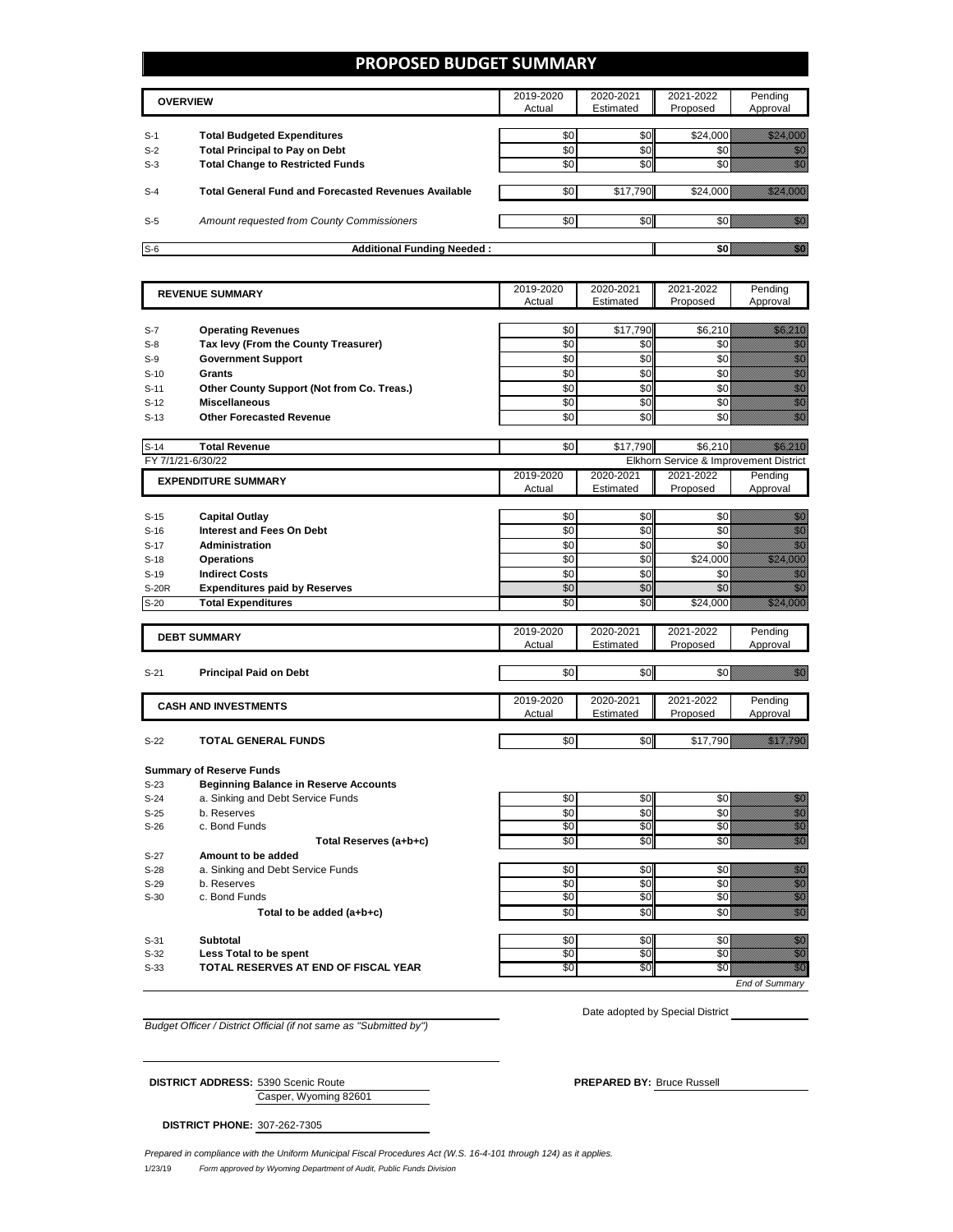### **PROPOSED BUDGET SUMMARY**

|       | <b>OVERVIEW</b>                                             | 2019-2020<br>Actual | 2020-2021<br>Estimated | 2021-2022<br>Proposed | Pending<br>Approval |
|-------|-------------------------------------------------------------|---------------------|------------------------|-----------------------|---------------------|
| $S-1$ | <b>Total Budgeted Expenditures</b>                          | \$0                 | \$0 <sub>1</sub>       | \$24,000              |                     |
| $S-2$ | <b>Total Principal to Pay on Debt</b>                       | \$0                 | \$0                    |                       |                     |
| $S-3$ | <b>Total Change to Restricted Funds</b>                     | \$0                 | \$0                    |                       |                     |
| $S-4$ | <b>Total General Fund and Forecasted Revenues Available</b> | \$0                 | \$17.790               |                       |                     |
| $S-5$ | Amount requested from County Commissioners                  | \$0                 | \$0 <sub>1</sub>       |                       |                     |
| $S-6$ | <b>Additional Funding Needed:</b>                           |                     |                        |                       |                     |

| <b>REVENUE SUMMARY</b> |                                              | 2019-2020       | 2020-2021  | 2021-2022                              | Pending                                                                                                                                                                                                                                        |
|------------------------|----------------------------------------------|-----------------|------------|----------------------------------------|------------------------------------------------------------------------------------------------------------------------------------------------------------------------------------------------------------------------------------------------|
|                        |                                              | Actual          | Estimated  | Proposed                               | Approval                                                                                                                                                                                                                                       |
|                        |                                              |                 |            |                                        |                                                                                                                                                                                                                                                |
| $S-7$                  | <b>Operating Revenues</b>                    | \$0             | \$17,790   | \$6,210                                | <u>i ka</u>                                                                                                                                                                                                                                    |
| $S-8$                  | Tax levy (From the County Treasurer)         | \$0             | \$0        | \$0                                    | en de la familie de la familie de la familie de la familie de la familie de la familie de la familie de la fam<br>Estatubat de la familie de la familie de la familie de la familie de la familie de la familie de la familie d                |
| $S-9$                  | <b>Government Support</b>                    | \$0             | \$0        | \$0                                    | en de la familie de la familie de la familie de la familie de la familie de la familie de la familie de la fam<br>Constitution de la familie de la familie de la familie de la familie de la familie de la familie de la familie               |
| $S-10$                 | <b>Grants</b>                                | \$0             | \$0        | \$0                                    | en de la familie de la familie de la familie de la familie de la familie de la familie de la familie de la fam<br>Estat de la familie de la familie de la familie de la familie de la familie de la familie de la familie de la                |
| $S-11$                 | Other County Support (Not from Co. Treas.)   | \$0             | \$0        | \$0                                    |                                                                                                                                                                                                                                                |
| $S-12$                 | <b>Miscellaneous</b>                         | \$0             | \$0        | \$0                                    | e de la familia de la familia de la familia de la familia de la familia de la familia de la familia de la fami<br>Establecidad                                                                                                                 |
| $S-13$                 | <b>Other Forecasted Revenue</b>              | \$0             | \$0        | \$0                                    | en de la formation de la formation de la formation de la formation de la formation de la formation de la forma<br>Décembre de la formation de la formation de la formation de la formation de la formation de la formation de la               |
|                        |                                              |                 |            |                                        |                                                                                                                                                                                                                                                |
| $S-14$                 | <b>Total Revenue</b>                         | \$0             | \$17,790   | \$6,210                                | <u>ika ma</u>                                                                                                                                                                                                                                  |
| FY 7/1/21-6/30/22      |                                              |                 |            | Elkhorn Service & Improvement District |                                                                                                                                                                                                                                                |
|                        |                                              | 2019-2020       | 2020-2021  | 2021-2022                              | Pending                                                                                                                                                                                                                                        |
|                        | <b>EXPENDITURE SUMMARY</b>                   | Actual          | Estimated  | Proposed                               | Approval                                                                                                                                                                                                                                       |
|                        |                                              |                 |            |                                        |                                                                                                                                                                                                                                                |
| $S-15$                 | <b>Capital Outlay</b>                        | \$0             | \$0        | \$0                                    | en de la filosofia<br>Maria                                                                                                                                                                                                                    |
| $S-16$                 | <b>Interest and Fees On Debt</b>             | \$0             | \$0        | \$0                                    | anan<br>Mariti                                                                                                                                                                                                                                 |
| $S-17$                 | Administration                               | \$0             | \$0        | \$0                                    | en de la familie de la familie de la familie de la familie de la familie de la familie de la familie de la fam<br>Construction de la familie de la familie de la familie de la familie de la familie de la familie de la familie               |
| $S-18$                 | <b>Operations</b>                            | \$0             | \$0        | \$24,000                               | a a shekarar 2009<br>Marejeo                                                                                                                                                                                                                   |
| $S-19$                 | <b>Indirect Costs</b>                        | \$0             | \$0        | \$0                                    |                                                                                                                                                                                                                                                |
| <b>S-20R</b>           | <b>Expenditures paid by Reserves</b>         | \$0             | \$0        | \$0                                    | e de la construcción de la construcción de la construcción de la construcción de la construcción de la constru                                                                                                                                 |
| $S-20$                 | <b>Total Expenditures</b>                    | $\overline{50}$ | \$0        | \$24,000                               | a a chuid ann an c                                                                                                                                                                                                                             |
|                        |                                              |                 |            |                                        |                                                                                                                                                                                                                                                |
|                        |                                              | 2019-2020       | 2020-2021  | 2021-2022                              | Pending                                                                                                                                                                                                                                        |
|                        | <b>DEBT SUMMARY</b>                          | Actual          | Estimated  | Proposed                               | Approval                                                                                                                                                                                                                                       |
|                        |                                              |                 |            |                                        |                                                                                                                                                                                                                                                |
| $S-21$                 | <b>Principal Paid on Debt</b>                | \$0             | \$0        | \$0 I                                  | <u> Karlin (k. 1988)</u>                                                                                                                                                                                                                       |
|                        |                                              |                 |            |                                        |                                                                                                                                                                                                                                                |
|                        |                                              | 2019-2020       | 2020-2021  | 2021-2022                              | Pending                                                                                                                                                                                                                                        |
|                        | <b>CASH AND INVESTMENTS</b>                  | Actual          | Estimated  | Proposed                               | Approval                                                                                                                                                                                                                                       |
|                        |                                              |                 |            |                                        |                                                                                                                                                                                                                                                |
| $S-22$                 | <b>TOTAL GENERAL FUNDS</b>                   | \$0             | \$0        | \$17,790                               | <u> Hillingar Sa</u>                                                                                                                                                                                                                           |
|                        |                                              |                 |            |                                        |                                                                                                                                                                                                                                                |
|                        | <b>Summary of Reserve Funds</b>              |                 |            |                                        |                                                                                                                                                                                                                                                |
| $S-23$                 | <b>Beginning Balance in Reserve Accounts</b> |                 |            |                                        |                                                                                                                                                                                                                                                |
| $S-24$                 | a. Sinking and Debt Service Funds            | \$0             | \$0        | \$0                                    | en de la familie de la familie de la familie de la familie de la familie de la familie de la familie de la fa<br>Construction de la familie de la familie de la familie de la familie de la familie de la familie de la familie                |
| $S-25$                 | b. Reserves                                  | \$0             | \$0        | \$0                                    |                                                                                                                                                                                                                                                |
| $S-26$                 | c. Bond Funds                                | \$0             | \$0        | \$0                                    | e de la familie de la familie de la familie de la familie de la familie de la familie de la familie de la fami<br>Característica de la familie de la familie de la familie de la familie de la familie de la familie de la fami                |
|                        | Total Reserves (a+b+c)                       | \$0             | \$0        | \$0                                    | en en de la familie de la familie de la familie de la familie de la familie de la familie de la familie de la<br>Constitution de la familie de la familie de la familie de la familie de la familie de la familie de la familie                |
| $S-27$                 | Amount to be added                           |                 |            |                                        |                                                                                                                                                                                                                                                |
|                        |                                              |                 |            |                                        |                                                                                                                                                                                                                                                |
| $S-28$                 | a. Sinking and Debt Service Funds            | \$0             | \$0        | \$0                                    |                                                                                                                                                                                                                                                |
| $S-29$                 | b. Reserves<br>c. Bond Funds                 | \$0<br>\$0      | \$0<br>\$0 | \$0<br>\$0                             | e de la composición de la composición de la composición de la composición de la composición de la composición<br>Campo de la composición de la composición de la composición de la composición de la composición de la composic                |
| $S-30$                 |                                              |                 |            |                                        |                                                                                                                                                                                                                                                |
|                        | Total to be added (a+b+c)                    | $\overline{50}$ | \$0        | $\overline{50}$                        | en de la filo<br>Galiador                                                                                                                                                                                                                      |
|                        | <b>Subtotal</b>                              | \$0             | \$0        | \$0                                    |                                                                                                                                                                                                                                                |
| $S-31$<br>$S-32$       | Less Total to be spent                       | \$0             | \$0        | \$0                                    | <u>i M</u><br>en de la familie de la familie de la familie de la familie de la familie de la familie de la familie de la fam<br>Constitution de la familie de la familie de la familie de la familie de la familie de la familie de la familie |
|                        | TOTAL RESERVES AT END OF FISCAL YEAR         | \$0             | \$0        | \$0                                    | VI.                                                                                                                                                                                                                                            |
| $S-33$                 |                                              |                 |            |                                        |                                                                                                                                                                                                                                                |
|                        |                                              |                 |            |                                        | End of Summarv                                                                                                                                                                                                                                 |

*Budget Officer / District Official (if not same as "Submitted by")*

Casper, Wyoming 82601

Date adopted by Special District

**DISTRICT ADDRESS:** 5390 Scenic Route **PREPARED BY:** Bruce Russell

**DISTRICT PHONE:** 307-262-7305

1/23/19 *Form approved by Wyoming Department of Audit, Public Funds Division Prepared in compliance with the Uniform Municipal Fiscal Procedures Act (W.S. 16-4-101 through 124) as it applies.*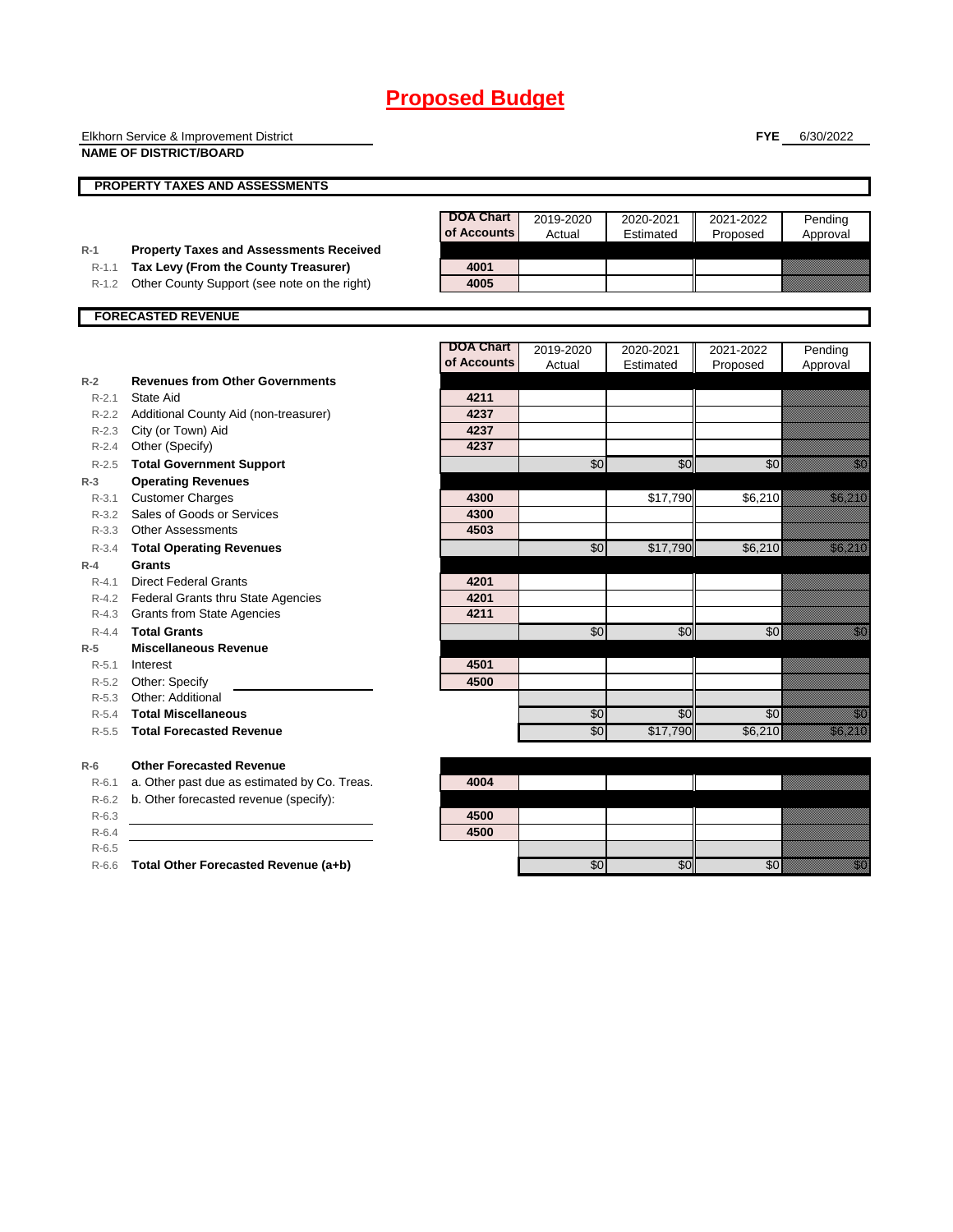|           | Elkhorn Service & Improvement District                                                 |                                 |                 |           | <b>FYE</b>    | 6/30/2022                                                                                                                                                                                                                          |
|-----------|----------------------------------------------------------------------------------------|---------------------------------|-----------------|-----------|---------------|------------------------------------------------------------------------------------------------------------------------------------------------------------------------------------------------------------------------------------|
|           | <b>NAME OF DISTRICT/BOARD</b>                                                          |                                 |                 |           |               |                                                                                                                                                                                                                                    |
|           |                                                                                        |                                 |                 |           |               |                                                                                                                                                                                                                                    |
|           | <b>PROPERTY TAXES AND ASSESSMENTS</b>                                                  |                                 |                 |           |               |                                                                                                                                                                                                                                    |
|           |                                                                                        |                                 |                 |           |               |                                                                                                                                                                                                                                    |
|           |                                                                                        | <b>DOA Chart</b><br>of Accounts | 2019-2020       | 2020-2021 | 2021-2022     | Pending                                                                                                                                                                                                                            |
| $R-1$     |                                                                                        |                                 | Actual          | Estimated | Proposed      | Approval                                                                                                                                                                                                                           |
| $R-1.1$   | <b>Property Taxes and Assessments Received</b><br>Tax Levy (From the County Treasurer) | 4001                            |                 |           |               |                                                                                                                                                                                                                                    |
| $R-1.2$   | Other County Support (see note on the right)                                           | 4005                            |                 |           |               |                                                                                                                                                                                                                                    |
|           |                                                                                        |                                 |                 |           |               |                                                                                                                                                                                                                                    |
|           | <b>FORECASTED REVENUE</b>                                                              |                                 |                 |           |               |                                                                                                                                                                                                                                    |
|           |                                                                                        |                                 |                 |           |               |                                                                                                                                                                                                                                    |
|           |                                                                                        | <b>DOA Chart</b>                | 2019-2020       | 2020-2021 | 2021-2022     | Pending                                                                                                                                                                                                                            |
|           |                                                                                        | of Accounts                     | Actual          | Estimated | Proposed      | Approval                                                                                                                                                                                                                           |
| $R-2$     | <b>Revenues from Other Governments</b>                                                 |                                 |                 |           |               |                                                                                                                                                                                                                                    |
| $R - 2.1$ | State Aid                                                                              | 4211                            |                 |           |               |                                                                                                                                                                                                                                    |
|           | R-2.2 Additional County Aid (non-treasurer)                                            | 4237                            |                 |           |               |                                                                                                                                                                                                                                    |
|           | R-2.3 City (or Town) Aid                                                               | 4237                            |                 |           |               |                                                                                                                                                                                                                                    |
| $R-2.4$   | Other (Specify)                                                                        | 4237                            |                 |           |               |                                                                                                                                                                                                                                    |
|           | R-2.5 Total Government Support                                                         |                                 | \$0             | \$0       | \$0           | en de la familie de la familie de la familie de la familie de la familie de la familie de la familie de la fam<br>Espainia                                                                                                         |
| $R-3$     | <b>Operating Revenues</b>                                                              |                                 |                 |           |               |                                                                                                                                                                                                                                    |
| $R - 3.1$ | <b>Customer Charges</b>                                                                | 4300                            |                 | \$17,790  | \$6,210       | <u>i selle para lä</u>                                                                                                                                                                                                             |
|           | R-3.2 Sales of Goods or Services                                                       | 4300                            |                 |           |               |                                                                                                                                                                                                                                    |
|           | R-3.3 Other Assessments                                                                | 4503                            |                 |           |               |                                                                                                                                                                                                                                    |
| R-3.4     | <b>Total Operating Revenues</b>                                                        |                                 | \$0             | \$17,790  | \$6,210       | <u>tik alaman da</u>                                                                                                                                                                                                               |
| $R-4$     | <b>Grants</b>                                                                          |                                 |                 |           |               |                                                                                                                                                                                                                                    |
| $R - 4.1$ | <b>Direct Federal Grants</b>                                                           | 4201                            |                 |           |               |                                                                                                                                                                                                                                    |
|           | R-4.2 Federal Grants thru State Agencies                                               | 4201                            |                 |           |               |                                                                                                                                                                                                                                    |
|           | R-4.3 Grants from State Agencies                                                       | 4211                            |                 |           |               |                                                                                                                                                                                                                                    |
| $R - 4.4$ | <b>Total Grants</b>                                                                    |                                 | \$0             | \$0       | $\frac{6}{5}$ | en de la filo<br>Maria de la filòla del control de la filòla de la filòla del terme del terme del terme del terme<br>Maria del terme del terme del terme del terme del terme del terme del terme del terme del terme del terme del |
| $R-5$     | <b>Miscellaneous Revenue</b>                                                           |                                 |                 |           |               |                                                                                                                                                                                                                                    |
| R-5.1     | Interest                                                                               | 4501                            |                 |           |               |                                                                                                                                                                                                                                    |
| $R-5.3$   | R-5.2 Other: Specify<br>Other: Additional                                              | 4500                            |                 |           |               |                                                                                                                                                                                                                                    |
| $R - 5.4$ | <b>Total Miscellaneous</b>                                                             |                                 | \$0             | \$0       | \$0           | en de la familie de la familie de la familie de la familie de la familie de la familie de la familie de la fa<br>Constitution de la familie de la familie de la familie de la familie de la familie de la familie de la familie    |
| $R-5.5$   | <b>Total Forecasted Revenue</b>                                                        |                                 | $\overline{30}$ | \$17,790  | \$6,210       | en eller<br>Filmologi                                                                                                                                                                                                              |
|           |                                                                                        |                                 |                 |           |               |                                                                                                                                                                                                                                    |
| $R-6$     | <b>Other Forecasted Revenue</b>                                                        |                                 |                 |           |               |                                                                                                                                                                                                                                    |
| $R-6.1$   | a. Other past due as estimated by Co. Treas.                                           | 4004                            |                 |           |               |                                                                                                                                                                                                                                    |
| $R-6.2$   | b. Other forecasted revenue (specify):                                                 |                                 |                 |           |               |                                                                                                                                                                                                                                    |
| $R-6.3$   |                                                                                        | 4500                            |                 |           |               |                                                                                                                                                                                                                                    |
| $R-6.4$   |                                                                                        | 4500                            |                 |           |               |                                                                                                                                                                                                                                    |
| $R-6.5$   |                                                                                        |                                 |                 |           |               |                                                                                                                                                                                                                                    |

R-6.6 **Total Other Forecasted Revenue (a+b)** \$0 \$0 \$0 \$0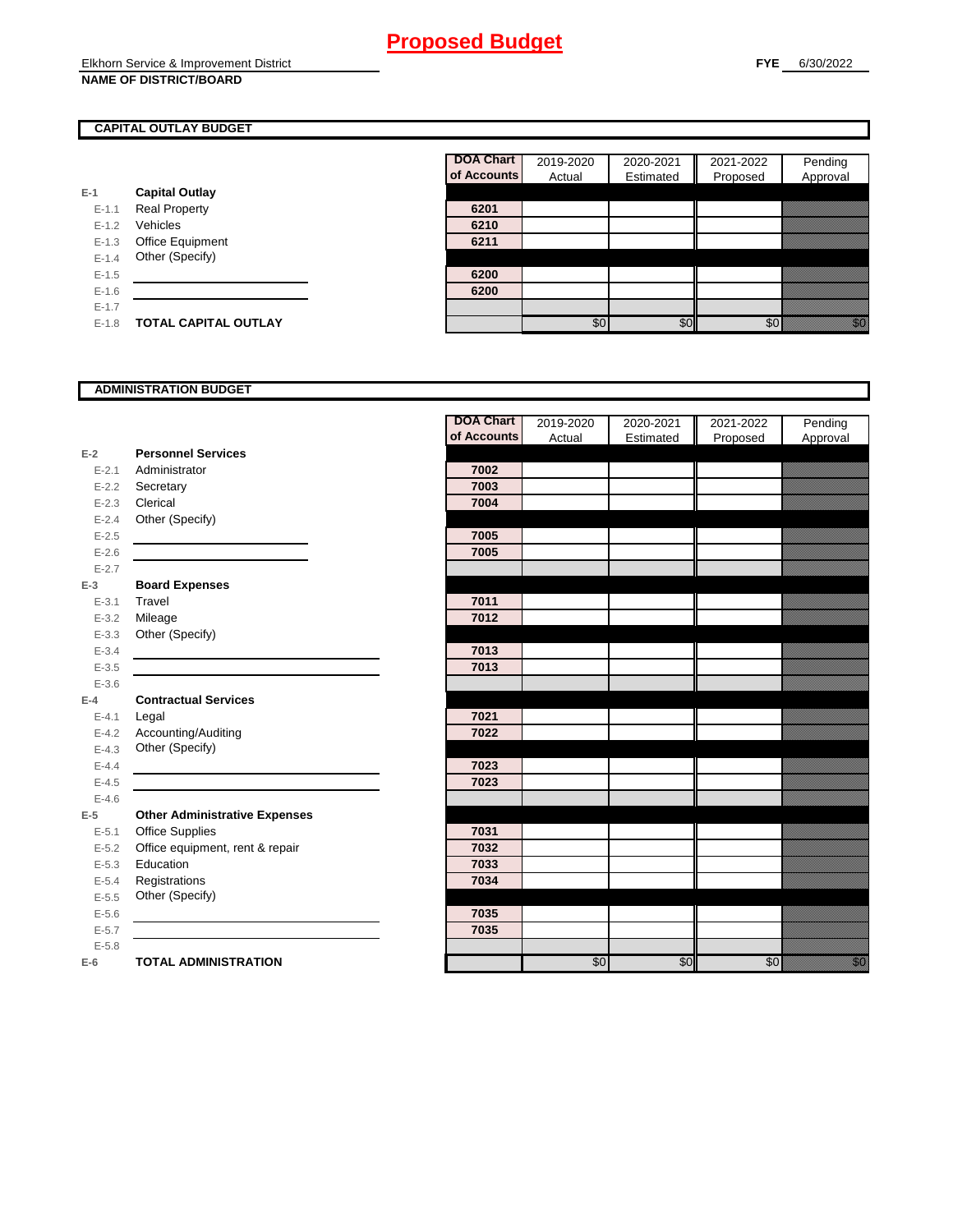### **CAPITAL OUTLAY BUDGET**

|           |                         | ui Auuu |
|-----------|-------------------------|---------|
| $E-1$     | <b>Capital Outlay</b>   |         |
| $E - 1.1$ | <b>Real Property</b>    | 6201    |
| $E - 1.2$ | Vehicles                | 6210    |
| $E - 1.3$ | <b>Office Equipment</b> | 6211    |
| $E - 1.4$ | Other (Specify)         |         |
| $E-1.5$   |                         | 6200    |
| $E - 1.6$ |                         | 6200    |
| $E - 1.7$ |                         |         |
| $E - 1.8$ | TOTAL CAPITAL OUTLAY    |         |

| <b>DOA Chart</b> | 2019-2020 | 2020-2021 | 2021-2022 | Pending  |
|------------------|-----------|-----------|-----------|----------|
| of Accounts      | Actual    | Estimated | Proposed  | Approval |
|                  |           |           |           |          |
| 6201             |           |           |           |          |
| 6210             |           |           |           |          |
| 6211             |           |           |           |          |
|                  |           |           |           |          |
| 6200             |           |           |           |          |
| 6200             |           |           |           |          |
|                  |           |           |           |          |
|                  | \$0       | \$ſ       |           |          |

#### **ADMINISTRATION BUDGET**

|           |                                      | <b>DOA Chart</b> | 2019-2020      | 2020-2021 | 2021-2022 | Pending                                                                                                                                                                                                                        |
|-----------|--------------------------------------|------------------|----------------|-----------|-----------|--------------------------------------------------------------------------------------------------------------------------------------------------------------------------------------------------------------------------------|
|           |                                      | of Accounts      | Actual         | Estimated | Proposed  | Approval                                                                                                                                                                                                                       |
| $E-2$     | <b>Personnel Services</b>            |                  |                |           |           |                                                                                                                                                                                                                                |
| $E - 2.1$ | Administrator                        | 7002             |                |           |           |                                                                                                                                                                                                                                |
| $E - 2.2$ | Secretary                            | 7003             |                |           |           |                                                                                                                                                                                                                                |
| $E - 2.3$ | Clerical                             | 7004             |                |           |           |                                                                                                                                                                                                                                |
| $E - 2.4$ | Other (Specify)                      |                  |                |           |           |                                                                                                                                                                                                                                |
| $E - 2.5$ |                                      | 7005             |                |           |           |                                                                                                                                                                                                                                |
| $E-2.6$   |                                      | 7005             |                |           |           |                                                                                                                                                                                                                                |
| $E - 2.7$ |                                      |                  |                |           |           |                                                                                                                                                                                                                                |
| $E-3$     | <b>Board Expenses</b>                |                  |                |           |           |                                                                                                                                                                                                                                |
| $E - 3.1$ | Travel                               | 7011             |                |           |           |                                                                                                                                                                                                                                |
| $E - 3.2$ | Mileage                              | 7012             |                |           |           |                                                                                                                                                                                                                                |
| $E - 3.3$ | Other (Specify)                      |                  |                |           |           |                                                                                                                                                                                                                                |
| $E - 3.4$ |                                      | 7013             |                |           |           |                                                                                                                                                                                                                                |
| $E - 3.5$ |                                      | 7013             |                |           |           |                                                                                                                                                                                                                                |
| $E - 3.6$ |                                      |                  |                |           |           |                                                                                                                                                                                                                                |
| $E-4$     | <b>Contractual Services</b>          |                  |                |           |           |                                                                                                                                                                                                                                |
| $E - 4.1$ | Legal                                | 7021             |                |           |           |                                                                                                                                                                                                                                |
| $E - 4.2$ | Accounting/Auditing                  | 7022             |                |           |           |                                                                                                                                                                                                                                |
| $E-4.3$   | Other (Specify)                      |                  |                |           |           |                                                                                                                                                                                                                                |
| $E - 4.4$ |                                      | 7023             |                |           |           |                                                                                                                                                                                                                                |
| $E-4.5$   |                                      | 7023             |                |           |           |                                                                                                                                                                                                                                |
| $E-4.6$   |                                      |                  |                |           |           |                                                                                                                                                                                                                                |
| $E-5$     | <b>Other Administrative Expenses</b> |                  |                |           |           |                                                                                                                                                                                                                                |
| $E - 5.1$ | Office Supplies                      | 7031             |                |           |           |                                                                                                                                                                                                                                |
| $E - 5.2$ | Office equipment, rent & repair      | 7032             |                |           |           |                                                                                                                                                                                                                                |
| $E - 5.3$ | Education                            | 7033             |                |           |           |                                                                                                                                                                                                                                |
| $E - 5.4$ | Registrations                        | 7034             |                |           |           |                                                                                                                                                                                                                                |
| $E-5.5$   | Other (Specify)                      |                  |                |           |           |                                                                                                                                                                                                                                |
| $E-5.6$   |                                      | 7035             |                |           |           |                                                                                                                                                                                                                                |
| $E - 5.7$ |                                      | 7035             |                |           |           |                                                                                                                                                                                                                                |
| $E - 5.8$ |                                      |                  |                |           |           |                                                                                                                                                                                                                                |
| $E-6$     | <b>TOTAL ADMINISTRATION</b>          |                  | $\frac{6}{30}$ | \$0       | \$0       | en de la familie de la familie de la familie de la familie de la familie de la familie de la familie de la fa<br>Lista de la familie de la familie de la familie de la familie de la familie de la familie de la familie de la |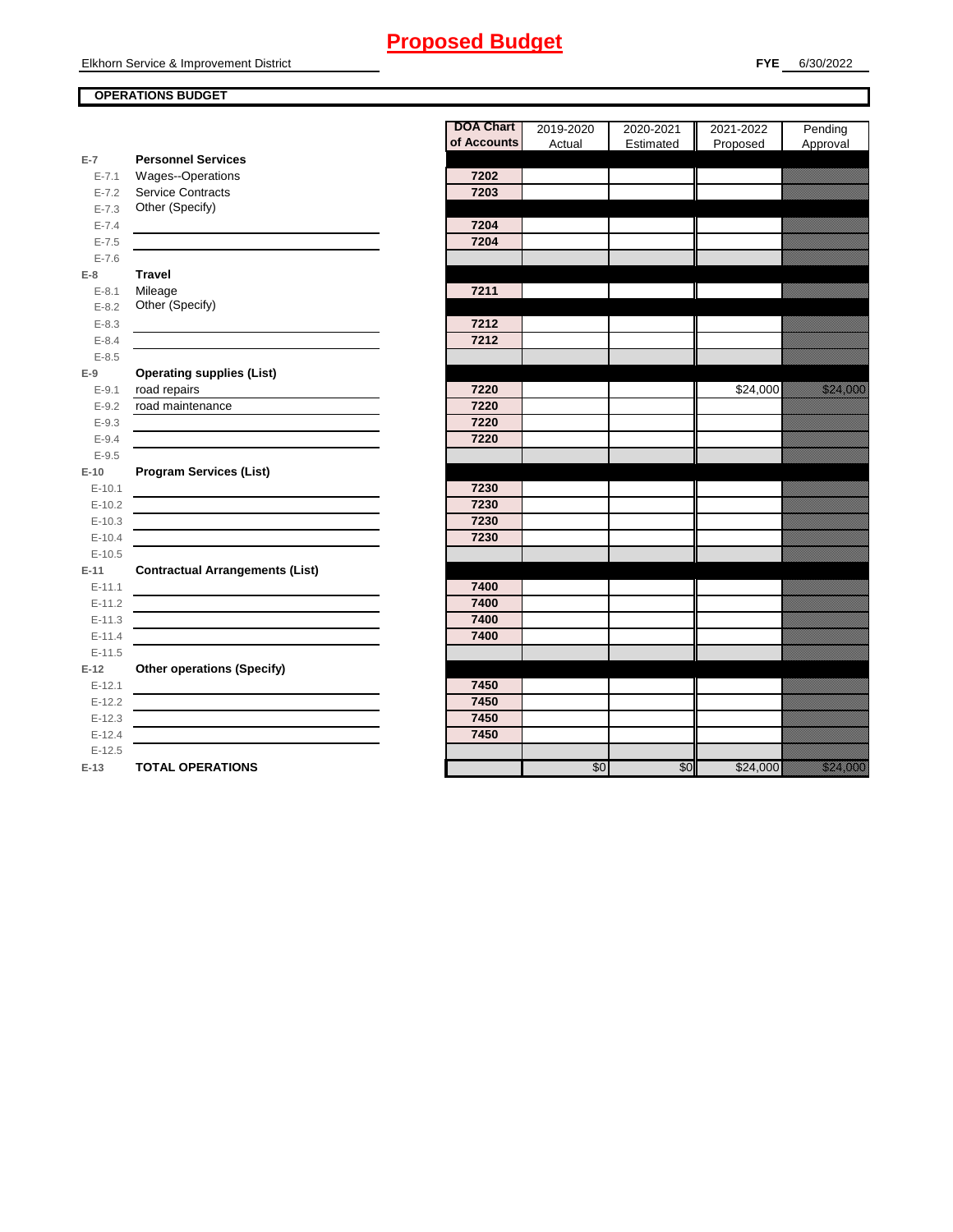Elkhorn Service & Improvement District

### **OPERATIONS BUDGET**

|                        |                                             | <b>DOA Chart</b> | 2019-2020 | 2020-2021 | 2021-2022 | Pending                                                                                                                                                                                                                          |
|------------------------|---------------------------------------------|------------------|-----------|-----------|-----------|----------------------------------------------------------------------------------------------------------------------------------------------------------------------------------------------------------------------------------|
|                        |                                             | of Accounts      | Actual    | Estimated | Proposed  | Approval                                                                                                                                                                                                                         |
| $E-7$                  | <b>Personnel Services</b>                   |                  |           |           |           |                                                                                                                                                                                                                                  |
| $E - 7.1$              | Wages--Operations                           | 7202             |           |           |           |                                                                                                                                                                                                                                  |
| $E - 7.2$              | <b>Service Contracts</b><br>Other (Specify) | 7203             |           |           |           |                                                                                                                                                                                                                                  |
| $E - 7.3$<br>$E - 7.4$ |                                             | 7204             |           |           |           |                                                                                                                                                                                                                                  |
| $E - 7.5$              |                                             | 7204             |           |           |           |                                                                                                                                                                                                                                  |
| $E - 7.6$              |                                             |                  |           |           |           |                                                                                                                                                                                                                                  |
| $E-8$                  | <b>Travel</b>                               |                  |           |           |           |                                                                                                                                                                                                                                  |
| $E - 8.1$              | Mileage                                     | 7211             |           |           |           |                                                                                                                                                                                                                                  |
| $E - 8.2$              | Other (Specify)                             |                  |           |           |           |                                                                                                                                                                                                                                  |
| $E - 8.3$              |                                             | 7212             |           |           |           |                                                                                                                                                                                                                                  |
| $E - 8.4$              |                                             | 7212             |           |           |           |                                                                                                                                                                                                                                  |
| $E - 8.5$              |                                             |                  |           |           |           |                                                                                                                                                                                                                                  |
| $E-9$                  | <b>Operating supplies (List)</b>            |                  |           |           |           |                                                                                                                                                                                                                                  |
| $E-9.1$                | road repairs                                | 7220             |           |           | \$24,000  | a a chunach<br>Bliadaine an t-ainm                                                                                                                                                                                               |
| $E - 9.2$              | road maintenance                            | 7220             |           |           |           |                                                                                                                                                                                                                                  |
| $E-9.3$                |                                             | 7220             |           |           |           |                                                                                                                                                                                                                                  |
| $E - 9.4$              |                                             | 7220             |           |           |           |                                                                                                                                                                                                                                  |
| $E - 9.5$              |                                             |                  |           |           |           |                                                                                                                                                                                                                                  |
| $E-10$                 | <b>Program Services (List)</b>              |                  |           |           |           |                                                                                                                                                                                                                                  |
| $E-10.1$               |                                             | 7230             |           |           |           |                                                                                                                                                                                                                                  |
| $E-10.2$               |                                             | 7230             |           |           |           |                                                                                                                                                                                                                                  |
| $E-10.3$               |                                             | 7230             |           |           |           |                                                                                                                                                                                                                                  |
| $E-10.4$               |                                             | 7230             |           |           |           |                                                                                                                                                                                                                                  |
| $E-10.5$               |                                             |                  |           |           |           |                                                                                                                                                                                                                                  |
| $E-11$                 | <b>Contractual Arrangements (List)</b>      |                  |           |           |           |                                                                                                                                                                                                                                  |
| $E - 11.1$             |                                             | 7400             |           |           |           |                                                                                                                                                                                                                                  |
| $E-11.2$               |                                             | 7400             |           |           |           |                                                                                                                                                                                                                                  |
| $E-11.3$<br>$E-11.4$   |                                             | 7400<br>7400     |           |           |           |                                                                                                                                                                                                                                  |
| $E-11.5$               |                                             |                  |           |           |           |                                                                                                                                                                                                                                  |
| $E-12$                 | <b>Other operations (Specify)</b>           |                  |           |           |           |                                                                                                                                                                                                                                  |
| $E-12.1$               |                                             | 7450             |           |           |           |                                                                                                                                                                                                                                  |
| $E-12.2$               |                                             | 7450             |           |           |           |                                                                                                                                                                                                                                  |
| $E-12.3$               |                                             | 7450             |           |           |           |                                                                                                                                                                                                                                  |
| $E-12.4$               |                                             | 7450             |           |           |           |                                                                                                                                                                                                                                  |
| $E-12.5$               |                                             |                  |           |           |           |                                                                                                                                                                                                                                  |
| $E-13$                 | <b>TOTAL OPERATIONS</b>                     |                  | \$0       | \$0       | \$24,000  | a katika katika katika katika katika katika katika katika katika katika katika katika katika katika katika kat<br>Katika katika katika katika katika katika katika katika katika katika katika katika katika katika katika katik |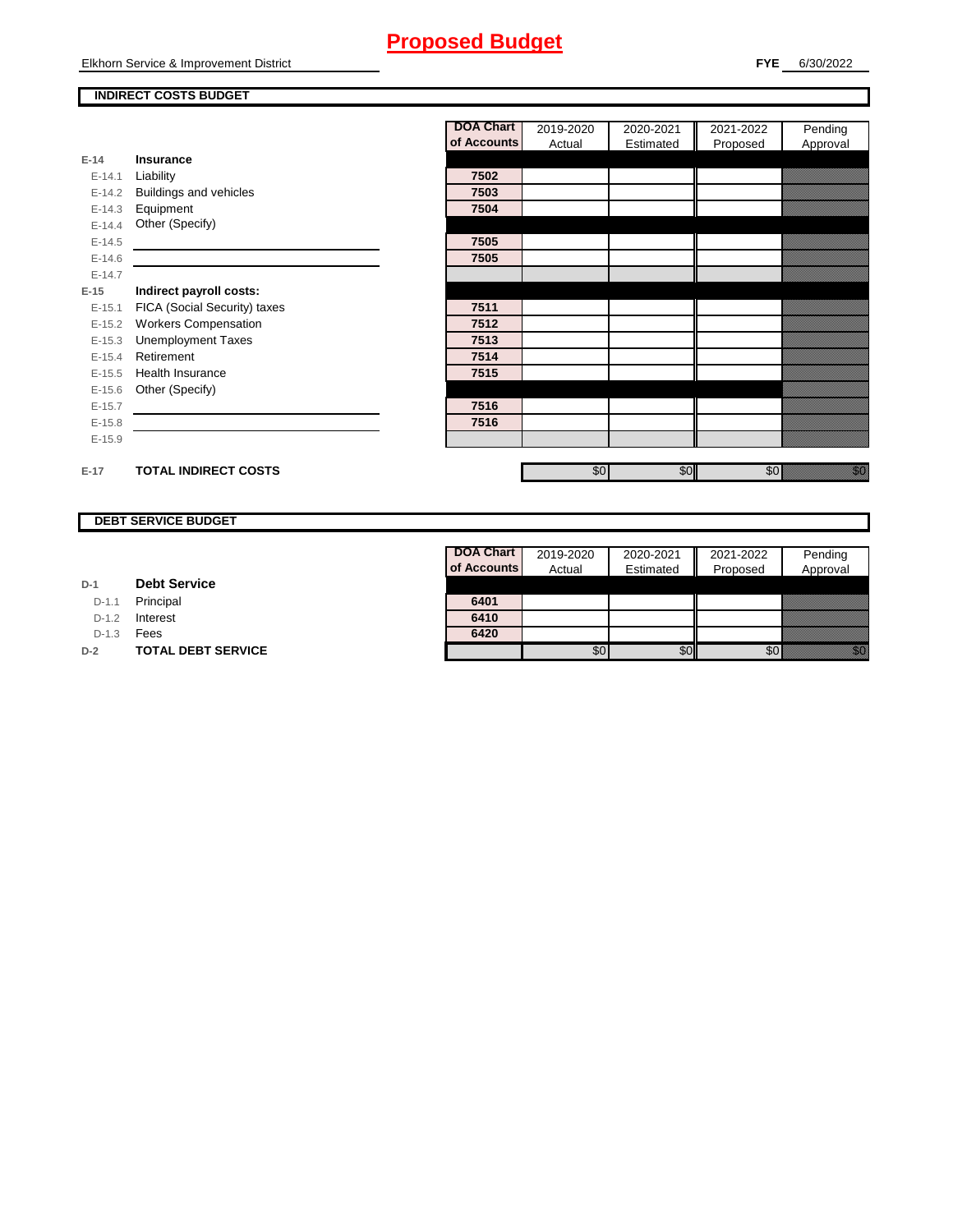### **INDIRECT COSTS BUDGET**

|          |                              | <b>DOA Chart</b> | 2019-2020 | 2020-2021 | 2021-2022 | Pending                                                                                                                              |
|----------|------------------------------|------------------|-----------|-----------|-----------|--------------------------------------------------------------------------------------------------------------------------------------|
|          |                              | of Accounts      | Actual    | Estimated | Proposed  | Approval                                                                                                                             |
| $E-14$   | <b>Insurance</b>             |                  |           |           |           |                                                                                                                                      |
| $E-14.1$ | Liability                    | 7502             |           |           |           |                                                                                                                                      |
| $E-14.2$ | Buildings and vehicles       | 7503             |           |           |           |                                                                                                                                      |
| $E-14.3$ | Equipment                    | 7504             |           |           |           |                                                                                                                                      |
| $E-14.4$ | Other (Specify)              |                  |           |           |           |                                                                                                                                      |
| $E-14.5$ |                              | 7505             |           |           |           |                                                                                                                                      |
| $E-14.6$ |                              | 7505             |           |           |           |                                                                                                                                      |
| $E-14.7$ |                              |                  |           |           |           |                                                                                                                                      |
| $E-15$   | Indirect payroll costs:      |                  |           |           |           |                                                                                                                                      |
| $E-15.1$ | FICA (Social Security) taxes | 7511             |           |           |           |                                                                                                                                      |
| $E-15.2$ | <b>Workers Compensation</b>  | 7512             |           |           |           |                                                                                                                                      |
| $E-15.3$ | <b>Unemployment Taxes</b>    | 7513             |           |           |           |                                                                                                                                      |
| $E-15.4$ | Retirement                   | 7514             |           |           |           |                                                                                                                                      |
| $E-15.5$ | Health Insurance             | 7515             |           |           |           |                                                                                                                                      |
| $E-15.6$ | Other (Specify)              |                  |           |           |           |                                                                                                                                      |
| $E-15.7$ |                              | 7516             |           |           |           |                                                                                                                                      |
| $E-15.8$ |                              | 7516             |           |           |           |                                                                                                                                      |
| $E-15.9$ |                              |                  |           |           |           |                                                                                                                                      |
|          |                              |                  |           |           |           |                                                                                                                                      |
| $E-17$   | <b>TOTAL INDIRECT COSTS</b>  |                  | \$0       | \$0       | \$0       | en de la filosofia<br>Maria de la filòla del conte del conte del conte del conte del conte del conte del conte del conte del conte d |

### **DEBT SERVICE BUDGET**

| D-1 |  | <b>Debt Service</b> |
|-----|--|---------------------|
|-----|--|---------------------|

D-1.1 **Principal** 

D-1.2 **Interest** 

D-1.3 **Fees** 

**D-2 TOTAL DEBT SERVICE** 

| <b>DOA Chart</b> | 2019-2020 | 2020-2021 | 2021-2022 | Pending  |
|------------------|-----------|-----------|-----------|----------|
| of Accounts      | Actual    | Estimated | Proposed  | Approval |
|                  |           |           |           |          |
| 6401             |           |           |           |          |
| 6410             |           |           |           |          |
| 6420             |           |           |           |          |
|                  |           |           |           |          |